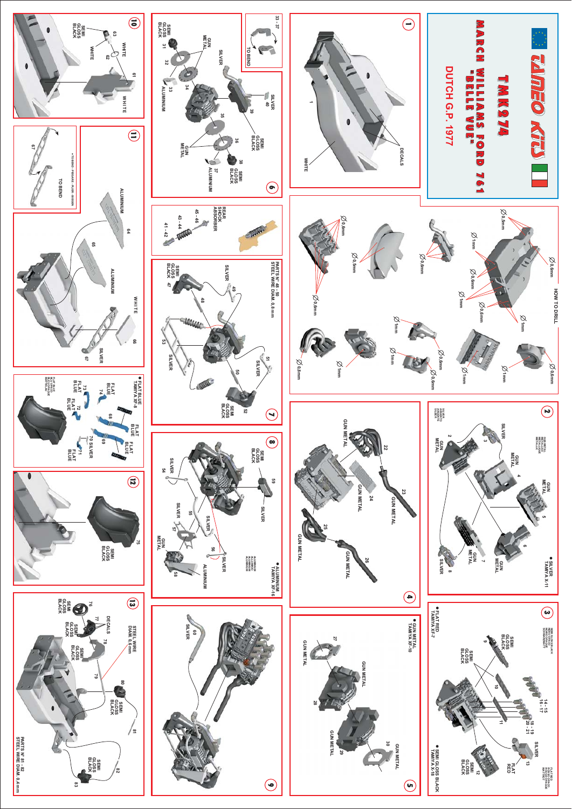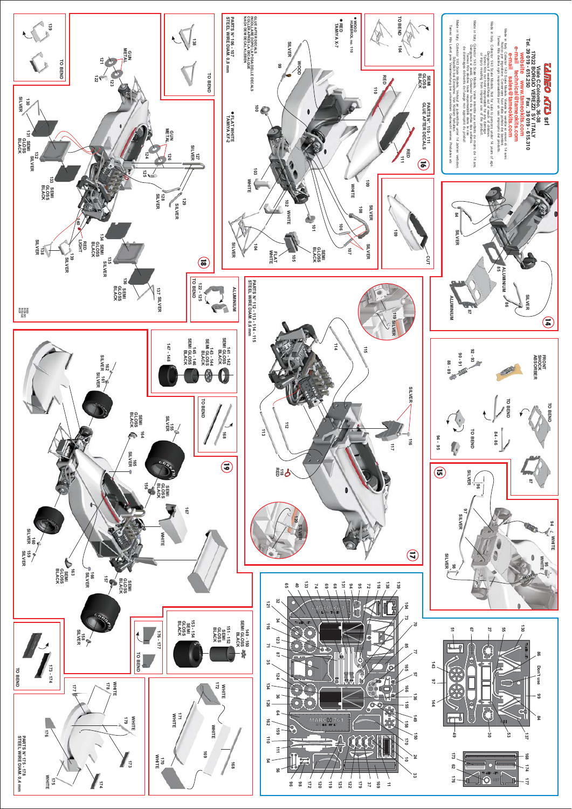